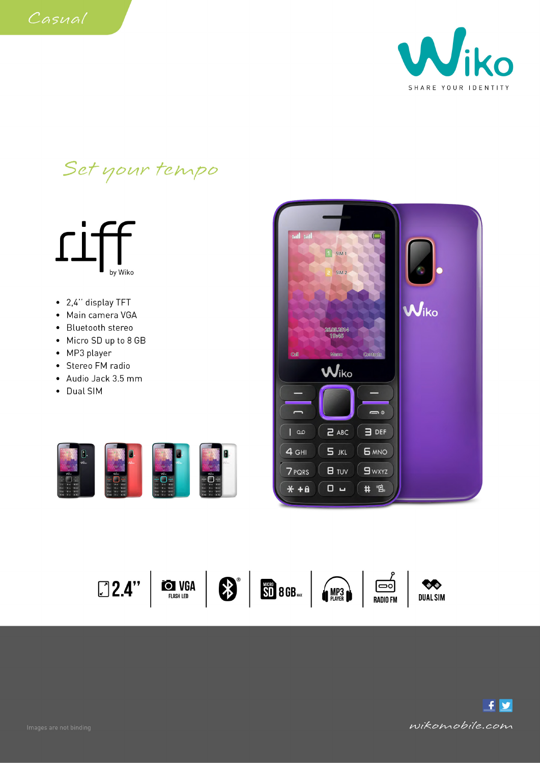Set your tempo







 $* + a$ 

 $0 -$ 

# "鸟。